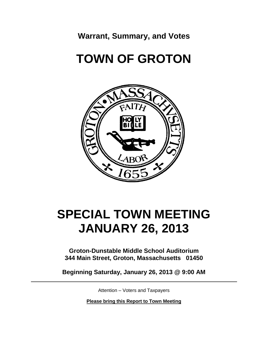**Warrant, Summary, and Votes**

# **TOWN OF GROTON**



# **SPECIAL TOWN MEETING JANUARY 26, 2013**

**Groton-Dunstable Middle School Auditorium 344 Main Street, Groton, Massachusetts 01450**

**Beginning Saturday, January 26, 2013 @ 9:00 AM**

Attention – Voters and Taxpayers

**Please bring this Report to Town Meeting**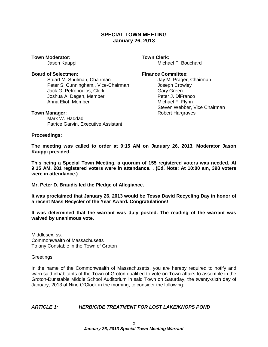# **SPECIAL TOWN MEETING January 26, 2013**

**Town Moderator:** Town Clerk:

#### **Board of Selectmen: Finance Committee:**

Stuart M. Shulman, Chairman **Jay M. Prager, Chairman** Peter S. Cunningham., Vice-Chairman Joseph Crowley Jack G. Petropoulos, Clerk Gary Green Joshua A. Degen, Member **Peter J. DiFranco**<br>Anna Eliot. Member **Peter J. DiFranco**<br>Michael F. Flynn Anna Eliot, Member

Mark W. Haddad Patrice Garvin, Executive Assistant

Jason Kauppi **Michael F. Bouchard** 

Steven Webber, Vice Chairman **Town Manager:** Town Manager: **Robert Hargraves** 

**Proceedings:**

**The meeting was called to order at 9:15 AM on January 26, 2013. Moderator Jason Kauppi presided.**

**This being a Special Town Meeting, a quorum of 155 registered voters was needed. At 9:15 AM, 281 registered voters were in attendance. . (Ed. Note: At 10:00 am, 398 voters were in attendance.)**

**Mr. Peter D. Braudis led the Pledge of Allegiance.** 

**It was proclaimed that January 26, 2013 would be Tessa David Recycling Day in honor of a recent Mass Recycler of the Year Award. Congratulations!**

**It was determined that the warrant was duly posted. The reading of the warrant was waived by unanimous vote.**

Middlesex, ss. Commonwealth of Massachusetts To any Constable in the Town of Groton

Greetings:

In the name of the Commonwealth of Massachusetts, you are hereby required to notify and warn said inhabitants of the Town of Groton qualified to vote on Town affairs to assemble in the Groton-Dunstable Middle School Auditorium in said Town on Saturday, the twenty-sixth day of January, 2013 at Nine O'Clock in the morning, to consider the following:

#### *ARTICLE 1: HERBICIDE TREATMENT FOR LOST LAKE/KNOPS POND*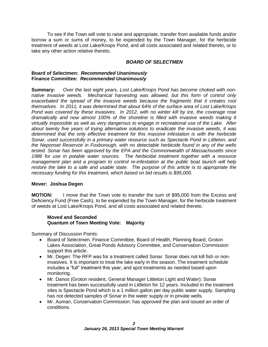To see if the Town will vote to raise and appropriate, transfer from available funds and/or borrow a sum or sums of money, to be expended by the Town Manager, for the herbicide treatment of weeds at Lost Lake/Knops Pond, and all costs associated and related thereto, or to take any other action relative thereto.

## *BOARD OF SELECTMEN*

#### **Board of Selectmen:** *Recommended Unanimously* **Finance Committee:** *Recommended Unanimously*

**Summary:** *Over the last eight years, Lost Lake/Knops Pond has become choked with nonnative invasive weeds. Mechanical harvesting was allowed, but this form of control only exacerbated the spread of the invasive weeds because the fragments that it creates root themselves. In 2011, it was determined that about 64% of the surface area of Lost Lake/Knops Pond was covered by these invasives. In 2012, with no winter kill by ice, the coverage rose dramatically and now almost 100% of the shoreline is filled with invasive weeds making it virtually impossible as well as very dangerous to engage in recreational use of the Lake. After about twenty five years of trying alternative solutions to eradicate the invasive weeds, it was determined that the only effective treatment for this massive infestation is with the herbicide Sonar, used successfully in a primary water resource such as Spectacle Pond in Littleton, and the Neponset Reservoir in Foxborough, with no detectable herbicide found in any of the wells tested. Sonar has been approved by the EPA and the Commonwealth of Massachusetts since 1986 for use in potable water sources. The herbicidal treatment together with a resource management plan and a program to control re-infestation at the public boat launch will help restore the lake to a safe and usable state. The purpose of this article is to appropriate the necessary funding for this treatment, which based on bid results is \$95,000.*

# **Mover: Joshua Degen**

**MOTION:** I move that the Town vote to transfer the sum of \$95,000 from the Excess and Deficiency Fund (Free Cash), to be expended by the Town Manager, for the herbicide treatment of weeds at Lost Lake/Knops Pond, and all costs associated and related thereto.

## **Moved and Seconded Quantum of Town Meeting Vote: Majority**

Summary of Discussion Points:

- Board of Selectmen, Finance Committee, Board of Health, Planning Board, Groton Lakes Association, Great Ponds Advisory Committee, and Conservation Commission support this article.
- Mr. Degen: The RFP was for a treatment called Sonar. Sonar does not kill fish or noninvasives. It is important to treat the lake early in the season. The treatment schedule includes a "full" treatment this year, and spot treatments as needed based upon monitoring.
- Mr. Danos (Groton resident, General Manager Littleton Light and Water): Sonar treatment has been successfully used in Littleton for 12 years. Included in the treatment sites is Spectacle Pond which is a 1 million gallon per day public water supply. Sampling has not detected samples of Sonar in the water supply or in private wells.
- Mr. Auman, Conservation Commission: has approved the plan and issued an order of conditions.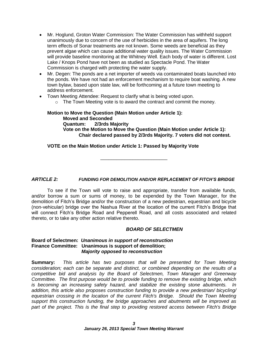- Mr. Hoglund, Groton Water Commission: The Water Commission has withheld support unanimously due to concern of the use of herbicides in the area of aquifers. The long term effects of Sonar treatments are not known. Some weeds are beneficial as they prevent algae which can cause additional water quality issues. The Water Commission will provide baseline monitoring at the Whitney Well. Each body of water is different. Lost Lake / Knops Pond have not been as studied as Spectacle Pond. The Water Commission is charged with protecting the water supply.
- Mr. Degen: The ponds are a net importer of weeds via contaminated boats launched into the ponds. We have not had an enforcement mechanism to require boat washing. A new town bylaw, based upon state law, will be forthcoming at a future town meeting to address enforcement.
- Town Meeting Attendee: Request to clarify what is being voted upon.
	- $\circ$  The Town Meeting vote is to award the contract and commit the money.

**Motion to Move the Question (Main Motion under Article 1): Moved and Seconded Quantum: 2/3rds Majority Vote on the Motion to Move the Question (Main Motion under Article 1): Chair declared passed by 2/3rds Majority. 7 voters did not contest.**

**VOTE on the Main Motion under Article 1: Passed by Majority Vote**

*ARTICLE 2: FUNDING FOR DEMOLITION AND/OR REPLACEMENT OF FITCH'S BRIDGE*

\_\_\_\_\_\_\_\_\_\_\_\_\_\_\_\_\_\_\_\_\_\_\_\_\_

To see if the Town will vote to raise and appropriate, transfer from available funds, and/or borrow a sum or sums of money, to be expended by the Town Manager, for the demolition of Fitch's Bridge and/or the construction of a new pedestrian, equestrian and bicycle (non-vehicular) bridge over the Nashua River at the location of the current Fitch's Bridge that will connect Fitch's Bridge Road and Pepperell Road, and all costs associated and related thereto, or to take any other action relative thereto.

#### *BOARD OF SELECTMEN*

#### **Board of Selectmen:** *Unanimous in support of reconstruction* **Finance Committee: Unanimous is support of demolition;** *Majority opposed to reconstruction*

**Summary:** *This article has two purposes that will be presented for Town Meeting consideration; each can be separate and distinct, or combined depending on the results of a competitive bid and analysis by the Board of Selectmen, Town Manager and Greenway Committee. The first purpose would be to provide funding to remove the existing bridge, which is becoming an increasing safety hazard, and stabilize the existing stone abutments. In addition, this article also proposes construction funding to provide a new pedestrian/ bicycling/ equestrian crossing in the location of the current Fitch's Bridge. Should the Town Meeting support this construction funding, the bridge approaches and abutments will be improved as part of the project. This is the final step to providing restored access between Fitch's Bridge*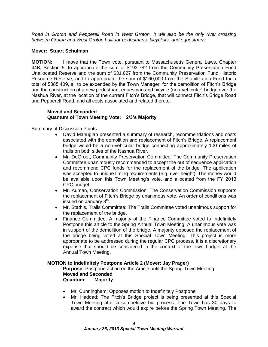*Road in Groton and Pepperell Road in West Groton. It will also be the only river crossing between Groton and West Groton built for pedestrians, bicyclists, and equestrians.*

## **Mover: Stuart Schulman**

**MOTION:** I move that the Town vote, pursuant to Massachusetts General Laws, Chapter 44B, Section 5, to appropriate the sum of \$193,782 from the Community Preservation Fund Unallocated Reserve and the sum of \$31,627 from the Community Preservation Fund Historic Resource Reserve, and to appropriate the sum of \$160,000 from the Stabilization Fund for a total of \$385,409, all to be expended by the Town Manager, for the demolition of Fitch's Bridge and the construction of a new pedestrian, equestrian and bicycle (non-vehicular) bridge over the Nashua River, at the location of the current Fitch's Bridge, that will connect Fitch's Bridge Road and Pepperell Road, and all costs associated and related thereto.

#### **Moved and Seconded Quantum of Town Meeting Vote: 2/3's Majority**

Summary of Discussion Points:

- David Manugian presented a summary of research, recommendations and costs associated with the demolition and replacement of Fitch's Bridge. A replacement bridge would be a non-vehicular bridge connecting approximately 100 miles of trails on both sides of the Nashua River.
- Mr. DeGroot, Community Preservation Committee: The Community Preservation Committee unanimously recommended to accept the out of sequence application and recommend CPC funds for the replacement of the bridge. The application was accepted to unique timing requirements (e.g. river height). The money would be available upon this Town Meeting's vote, and allocated from the FY 2013 CPC budget.
- Mr. Auman, Conservation Commission: The Conservation Commission supports the replacement of Fitch's Bridge by unanimous vote. An order of conditions was issued on January 8<sup>th</sup>.
- Mr. Stathis, Trails Committee: The Trails Committee voted unanimous support for the replacement of the bridge.
- Finance Committee: A majority of the Finance Committee voted to Indefinitely Postpone this article to the Spring Annual Town Meeting. A unanimous vote was in support of the demolition of the bridge. A majority opposed the replacement of the bridge being voted at this Special Town Meeting. This project is more appropriate to be addressed during the regular CPC process. It is a discretionary expense that should be considered in the context of the town budget at the Annual Town Meeting.

#### **MOTION to Indefinitely Postpone Article 2 (Mover: Jay Prager)**

**Purpose:** Postpone action on the Article until the Spring Town Meeting **Moved and Seconded Quantum: Majority**

- Mr. Cunningham: Opposes motion to Indefinitely Postpone
- Mr. Haddad: The Fitch's Bridge project is being presented at this Special Town Meeting after a competitive bid process. The Town has 30 days to award the contract which would expire before the Spring Town Meeting. The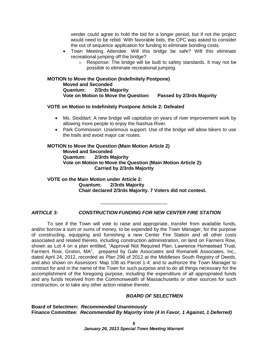vender could agree to hold the bid for a longer period, but if not the project would need to be rebid. With favorable bids, the CPC was asked to consider the out of sequence application for funding to eliminate bonding costs.

- Town Meeting Attendee: Will this bridge be safe? Will this eliminate recreational jumping off the bridge?
	- o Response: The bridge will be built to safety standards. It may not be possible to eliminate recreational jumping.

#### **MOTION to Move the Question (Indefinitely Postpone) Moved and Seconded Quantum: 2/3rds Majority Vote on Motion to Move the Question: Passed by 2/3rds Majority**

#### **VOTE on Motion to Indefinitely Postpone Article 2: Defeated**

- Ms. Stoddart: A new bridge will capitalize on years of river improvement work by allowing more people to enjoy the Nashua River.
- Park Commission: Unanimous support. Use of the bridge will allow bikers to use the trails and avoid major car routes.

#### **MOTION to Move the Question (Main Motion Article 2) Moved and Seconded Quantum: 2/3rds Majority Vote on Motion to Move the Question (Main Motion Article 2): Carried by 2/3rds Majority**

**VOTE on the Main Motion under Article 2: Quantum: 2/3rds Majority Chair declared 2/3rds Majority. 7 Voters did not contest.**

\_\_\_\_\_\_\_\_\_\_\_\_\_\_\_\_\_\_\_\_\_\_\_\_\_

#### *ARTICLE 3: CONSTRUCTION FUNDING FOR NEW CENTER FIRE STATION*

To see if the Town will vote to raise and appropriate, transfer from available funds, and/or borrow a sum or sums of money, to be expended by the Town Manager, for the purpose of constructing, equipping and furnishing a new Center Fire Station and all other costs associated and related thereto, including construction administration, on land on Farmers Row, shown as Lot 4 on a plan entitled, "Approval Not Required Plan, Lawrence Homestead Trust, Farmers Row, Groton, MA", prepared by Gale Associates and Romanelli Associates, Inc., dated April 24, 2012, recorded as Plan 296 of 2012 at the Middlesex South Registry of Deeds, and also shown on Assessors' Map 108 as Parcel 1-4; and to authorize the Town Manager to contract for and in the name of the Town for such purpose and to do all things necessary for the accomplishment of the foregoing purpose, including the expenditure of all appropriated funds and any funds received from the Commonwealth of Massachusetts or other sources for such construction, or to take any other action relative thereto.

#### *BOARD OF SELECTMEN*

#### **Board of Selectmen:** *Recommended Unanimously* **Finance Committee:** *Recommended By Majority Vote (4 In Favor, 1 Against, 1 Deferred)*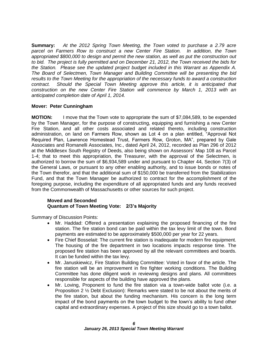**Summary:** *At the 2012 Spring Town Meeting, the Town voted to purchase a 2.79 acre parcel on Farmers Row to construct a new Center Fire Station. In addition, the Town appropriated \$800,000 to design and permit the new station, as well as put the construction out to bid. The project is fully permitted and on December 21, 2012, the Town received the bids for the Station. Please see the updated project budget included in this Warrant as Appendix A. The Board of Selectmen, Town Manager and Building Committee will be presenting the bid results to the Town Meeting for the appropriation of the necessary funds to award a construction contract. Should the Special Town Meeting approve this article, it is anticipated that construction on the new Center Fire Station will commence by March 1, 2013 with an anticipated completion date of April 1, 2014.* 

# **Mover: Peter Cunningham**

**MOTION:** I move that the Town vote to appropriate the sum of \$7,084,589, to be expended by the Town Manager, for the purpose of constructing, equipping and furnishing a new Center Fire Station, and all other costs associated and related thereto, including construction administration, on land on Farmers Row, shown as Lot 4 on a plan entitled, "Approval Not Required Plan, Lawrence Homestead Trust, Farmers Row, Groton, MA", prepared by Gale Associates and Romanelli Associates, Inc., dated April 24, 2012, recorded as Plan 296 of 2012 at the Middlesex South Registry of Deeds, also being shown on Assessors' Map 108 as Parcel 1-4; that to meet this appropriation, the Treasurer, with the approval of the Selectmen, is authorized to borrow the sum of \$6,934,589 under and pursuant to Chapter 44, Section 7(3) of the General Laws, or pursuant to any other enabling authority, and to issue bonds or notes of the Town therefor, and that the additional sum of \$150,000 be transferred from the Stabilization Fund, and that the Town Manager be authorized to contract for the accomplishment of the foregoing purpose, including the expenditure of all appropriated funds and any funds received from the Commonwealth of Massachusetts or other sources for such project.

#### **Moved and Seconded Quantum of Town Meeting Vote: 2/3's Majority**

Summary of Discussion Points:

- Mr. Haddad: Offered a presentation explaining the proposed financing of the fire station. The fire station bond can be paid within the tax levy limit of the town. Bond payments are estimated to be approximately \$500,000 per year for 22 years.
- Fire Chief Bosselait: The current fire station is inadequate for modern fire equipment. The housing of the fire department in two locations impacts response time. The proposed fire station has been approved by all the relevant committees and boards. It can be funded within the tax levy.
- Mr. Januskiewicz, Fire Station Building Committee: Voted in favor of the article. The fire station will be an improvement in fire fighter working conditions. The Building Committee has done diligent work in reviewing designs and plans. All committees responsible for aspects of the building have approved the plans.
- Mr. Loving, Proponent to fund the fire station via a town-wide ballot vote (i.e. a Proposition 2 ½ Debt Exclusion): Remarks were stated to be not about the merits of the fire station, but about the funding mechanism. His concern is the long term impact of the bond payments on the town budget to the town's ability to fund other capital and extraordinary expenses. A project of this size should go to a town ballot.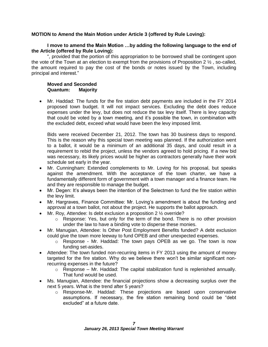# **MOTION to Amend the Main Motion under Article 3 (offered by Rule Loving):**

## **I move to amend the Main Motion …by adding the following language to the end of the Article (offered by Rule Loving):**

", provided that the portion of this appropriation to be borrowed shall be contingent upon the vote of the Town at an election to exempt from the provisions of Proposition 2 ½ , so-called, the amount required to pay the cost of the bonds or notes issued by the Town, including principal and interest."

### **Moved and Seconded Quantum: Majority**

 Mr. Haddad: The funds for the fire station debt payments are included in the FY 2014 proposed town budget. It will not impact services. Excluding the debt does reduce expenses under the levy, but does not reduce the tax levy itself. There is levy capacity that could be voted by a town meeting, and it's possible the town, in combination with the excluded debt, exceed what would have been the levy imposed limit.

Bids were received December 21, 2012. The town has 30 business days to respond. This is the reason why this special town meeting was planned. If the authorization went to a ballot, it would be a minimum of an additional 35 days, and could result in a requirement to rebid the project, unless the vendors agreed to hold pricing. If a new bid was necessary, its likely prices would be higher as contractors generally have their work schedule set early in the year.

- Mr. Cunningham: Extended complements to Mr. Loving for his proposal, but speaks against the amendment. With the acceptance of the town charter, we have a fundamentally different form of government with a town manager and a finance team. He and they are responsible to manage the budget.
- Mr. Degen: It's always been the intention of the Selectmen to fund the fire station within the levy limit.
- Mr. Hargraves, Finance Committee: Mr. Loving's amendment is about the funding and approval at a town ballot, not about the project. He supports the ballot approach.
- Mr. Roy, Attendee: Is debt exclusion a proposition 2  $\frac{1}{2}$  override?
	- $\circ$  Response: Yes, but only for the term of the bond. There is no other provision under the law to have a binding vote to disperse these monies.
- Mr. Manugian, Attendee: Is Other Post Employment Benefits funded? A debt exclusion could give the town more leeway to fund OPEB and other unexpected expenses.
	- $\circ$  Response Mr. Haddad: The town pays OPEB as we go. The town is now funding set-asides.
- Attendee: The town funded non-recurring items in FY 2013 using the amount of money targeted for the fire station. Why do we believe there won't be similar significant nonrecurring expenses in the future?
	- $\circ$  Response Mr. Haddad: The capital stabilization fund is replenished annually. That fund would be used.
- Ms. Manugian, Attendee: the financial projections show a decreasing surplus over the next 5 years. What is the trend after 5 years?
	- o Response-Mr. Haddad: These projections are based upon conservative assumptions. If necessary, the fire station remaining bond could be "debt excluded" at a future date.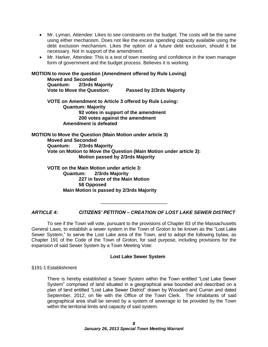- Mr. Lyman, Attendee: Likes to see constraints on the budget. The costs will be the same using either mechanism. Does not like the excess spending capacity available using the debt exclusion mechanism. Likes the option of a future debt exclusion, should it be necessary. Not in support of the amendment.
- Mr. Harker, Attendee: This is a test of town meeting and confidence in the town manager form of government and the budget process. Believes it is working.

**MOTION to move the question (Amendment offered by Rule Loving)**

| <b>Moved and Seconded</b> |                                   |                           |
|---------------------------|-----------------------------------|---------------------------|
| Quantum:                  | 2/3rds Majority                   |                           |
|                           | <b>Vote to Move the Question:</b> | Passed by 2/3rds Majority |

**VOTE on Amendment to Article 3 offered by Rule Loving: Quantum: Majority 92 votes in support of the amendment 200 votes against the amendment Amendment is defeated**

**MOTION to Move the Question (Main Motion under article 3) Moved and Seconded Quantum: 2/3rds Majority Vote on Motion to Move the Question (Main Motion under article 3): Motion passed by 2/3rds Majority**

**VOTE on the Main Motion under article 3: Quantum: 2/3rds Majority 227 in favor of the Main Motion 58 Opposed Main Motion is passed by 2/3rds Majority**

*ARTICLE 4: CITIZENS' PETITION – CREATION OF LOST LAKE SEWER DISTRICT*

\_\_\_\_\_\_\_\_\_\_\_\_\_\_\_\_\_\_\_\_\_\_\_\_\_

To see if the Town will vote, pursuant to the provisions of Chapter 83 of the Massachusetts General Laws, to establish a sewer system in the Town of Groton to be known as the "Lost Lake Sewer System," to serve the Lost Lake area of the Town, and to adopt the following bylaw, as Chapter 191 of the Code of the Town of Groton, for said purpose, including provisions for the expansion of said Sewer System by a Town Meeting Vote:

#### **Lost Lake Sewer System**

§191-1 Establishment

There is hereby established a Sewer System within the Town entitled "Lost Lake Sewer System" comprised of land situated in a geographical area bounded and described on a plan of land entitled "Lost Lake Sewer District" drawn by Woodard and Curran and dated September, 2012, on file with the Office of the Town Clerk. The inhabitants of said geographical area shall be served by a system of sewerage to be provided by the Town within the territorial limits and capacity of said system.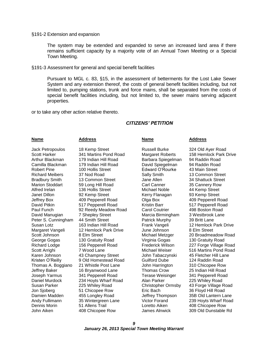#### §191-2 Extension and expansion

The system may be extended and expanded to serve an increased land area if there remains sufficient capacity by a majority vote of an Annual Town Meeting or a Special Town Meeting.

#### §191-3 Assessment for general and special benefit facilities

Pursuant to MGL c. 83, §15, in the assessment of betterments for the Lost Lake Sewer System and any extension thereof, the costs of general benefit facilities including, but not limited to, pumping stations, trunk and force mains, shall be separated from the costs of special benefit facilities including, but not limited to, the sewer mains serving adjacent properties.

or to take any other action relative thereto.

#### *CITIZENS' PETITION*

#### **Name Address Name Address**

Jack Petropoulos 18 Kemp Street Russell Burke 324 Old Ayer Road

Scott Harker 341 Martins Pond Road Margaret Roberts 158 Hemlock Park Drive Arthur Blackman 179 Indian Hill Road Barbara Spiegelman 94 Raddin Road Camilla Blackman 179 Indian Hill Road David Spiegelman 94 Raddin Road Robert Pine 100 Hollis Street Edward O'Rourke 43 Main Street Richard Meibers 37 Nod Road Sally Smith 13 Common Street Bradbury Smith 13 Common Street Jane Allen 34 Shattuck Street Marion Stoddart 59 Long Hill Road Carl Canner 35 Cannery Row Alfred Irelan 136 Hollis Street Michael Noble 44 Kemp Street Janet Dillon **92 Kemp Street** Kerry Flanagan 93 Kemp Street Jeffrey Box 409 Pepperell Road Olga Box 409 Pepperell Road David Pitkin 517 Pepperell Road Kristin Barr 517 Pepperell Road Paul Funch 92 Reedy Meadow Road Carol Coutrier 498 Boston Road David Manugian 7 Shepley Street Marcia Birmingham 3 Westbrook Lane Peter S. Cunningham 44 Smith Street Patrick Murphy 39 Britt Lane Susan Lotz 163 Indian Hill Road Frank Vangeli 12 Hemlock Park Drive Margaret Vangeli 12 Hemlock Park Drive June Johnson 8 Elm Street Scott Johnson 8 Elm Street Michael Metzger 20 Broadmeadow Road George Gogas 130 Gratuity Road Virginia Gogas 130 Gratuity Road Richard Lodge 156 Pepperell Road Frederick Wilson 227 Forge Village Road Scott Arrighi **7 Wood Lane** Michael Weiser 516 Martins Pond Road Karen Johnson 43 Champney Street John Tabaczynski 45 Fletcher Hill Lane Kristen O'Reilly 9 Old Homestead Road Guilford Dube 124 Raddin Road Thomas A. Boggiano 21 Whistle Post Lane John Harrington 310 Chicopee Row<br>Jeffrey Baker 16 Bryanwood Lane Thomas Crow 25 Indian Hill Road Jeffrey Baker 16 Bryanwood Lane Thomas Crow Joseph Yarmus 341 Pepperell Road Terase Weisinger 341 Pepperell Road Daniel Murdock 234 Hoyts Wharf Road Alan Parker 225 Whiley Road Susan Parker 225 Whiley Road Christopher Ormsby 43 Forge Village Road Jon Sjoberg 51 Chicopee Row Eric Bach 36 Floyd Hill Road Damien Madden 455 Longley Road Jeffrey Thompson 35B Old Lantern Lane Andy Fullimann 35 Wintergreen Lane Victor Forand 239 Hoyts Wharf Road Dennis Morin 51 Allens Trail Loretto Aiken 408 Chicopee Row 408 Chicopee Row James Alnwick 309 Old Dunstable Rd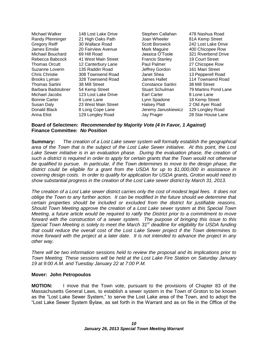Michael Walker 148 Lost Lake Drive Stephen Callahan 478 Nashua Road Randy Pfenninger 21 High Oaks Path Joan Wheeler 81A Kemp Street Gregory Reiff and 30 Wallace Road Scott Borowick 242 Lost Lake Drive James Emslie 20 Fairview Avenue Mark Maguire 400 Chicopee Row Michael Bouchard 69 Hill Road Jessica O'Toole 321 Riverbend Drive Rebecca Babcock 41 West Main Street Francis Stanley 19 Court Street Thomas Orcutt 12 Canterbury Lane Paul Palmer 27 Chicopee Row Suzanne Loverin 135 Raddin Road Jeffrey Gordon 161 Main Street Chris Christie 308 Townsend Road Janet Shea 13 Pepperell Road Brooks Lyman 328 Townsend Road James Hallet 114 Townsend Road Thomas Sartini 38 Mill Street Constance Sartini 38 Mill Street Barbara Badstubner 54 Kemp Street Stuart Schulman 79 Martins Pond Lane Michael Jacobs 123 Lost Lake Drive Earl Carter 8 Lone Lane Bonnie Carter and 8 Lone Lane 18 Kemp Street<br>
Susan Daly 18 Kemp Street 19 2 Old Ayer Road Donald Black 8 Long Cope Lane General Heremy Januskiewicz 129 Longley Road Anna Eliot **129 Longley Road** Jay Prager 28 Star House Lane

23 West Main Street Halsey Platt 2 Old Ayer Road

#### **Board of Selectmen:** *Recommended by Majority Vote (4 In Favor, 1 Against)* **Finance Committee:** *No Position*

**Summary:** *The creation of a Lost Lake sewer system will formally establish the geographical area of the Town that is the subject of the Lost Lake Sewer initiative. At this point, the Lost Lake Sewer initiative is in an evaluation phase. During the evaluation phase, the creation of such a district is required in order to apply for certain grants that the Town would not otherwise be qualified to pursue. In particular, if the Town determines to move to the design phase, the district could be eligible for a grant from the USDA for up to \$1,000,000 in assistance in covering design costs. In order to qualify for application for USDA grants, Groton would need to show substantial progress in the creation of the Lost Lake sewer district by March 31, 2013.*

*The creation of a Lost Lake sewer district carries only the cost of modest legal fees. It does not oblige the Town to any further action. It can be modified in the future should we determine that certain properties should be included or excluded from the district for justifiable reasons. Should Town Meeting approve the creation of a Lost Lake sewer system at this Special Town Meeting, a future article would be required to ratify the District prior to a commitment to move forward with the construction of a sewer system. The purpose of bringing this issue to this Special Town Meeting is solely to meet the March 31st deadline for eligibility for USDA funding that could reduce the overall cost of the Lost Lake Sewer project if the Town determines to move forward with the project at a later date. It is not intended to advance the project in any other way.*

*There will be two information sessions held to review the proposal and its implications prior to Town Meeting. These sessions will be held at the Lost Lake Fire Station on Saturday January 19 at 9:00 A.M. and Tuesday January 22 at 7:00 P.M.*

# **Mover: John Petropoulos**

**MOTION:** I move that the Town vote, pursuant to the provisions of Chapter 83 of the Massachusetts General Laws, to establish a sewer system in the Town of Groton to be known as the "Lost Lake Sewer System," to serve the Lost Lake area of the Town, and to adopt the "Lost Lake Sewer System Bylaw, as set forth in the Warrant and as on file in the Office of the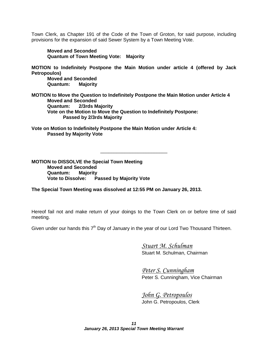Town Clerk, as Chapter 191 of the Code of the Town of Groton, for said purpose, including provisions for the expansion of said Sewer System by a Town Meeting Vote.

**Moved and Seconded Quantum of Town Meeting Vote: Majority**

**MOTION to Indefinitely Postpone the Main Motion under article 4 (offered by Jack Petropoulos)**

**Moved and Seconded Quantum: Majority**

**MOTION to Move the Question to Indefinitely Postpone the Main Motion under Article 4 Moved and Seconded Quantum: 2/3rds Majority Vote on the Motion to Move the Question to Indefinitely Postpone: Passed by 2/3rds Majority**

\_\_\_\_\_\_\_\_\_\_\_\_\_\_\_\_\_\_\_\_\_\_\_\_\_

**Vote on Motion to Indefinitely Postpone the Main Motion under Article 4: Passed by Majority Vote**

**MOTION to DISSOLVE the Special Town Meeting Moved and Seconded Quantum: Majority Vote to Dissolve: Passed by Majority Vote**

**The Special Town Meeting was dissolved at 12:55 PM on January 26, 2013.**

Hereof fail not and make return of your doings to the Town Clerk on or before time of said meeting.

Given under our hands this  $7<sup>th</sup>$  Day of January in the year of our Lord Two Thousand Thirteen.

*Stuart M. Schulman* Stuart M. Schulman, Chairman

*Peter S. Cunningham* Peter S. Cunningham, Vice Chairman

*John G. Petropoulos* John G. Petropoulos, Clerk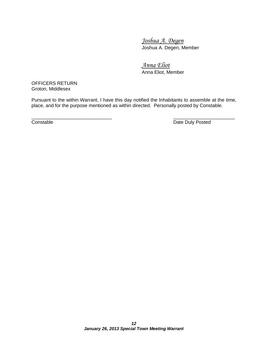*Joshua A. Degen* Joshua A. Degen, Member

*Anna Eliot* Anna Eliot, Member

OFFICERS RETURN Groton, Middlesex

Pursuant to the within Warrant, I have this day notified the Inhabitants to assemble at the time, place, and for the purpose mentioned as within directed. Personally posted by Constable.

 $\overline{\phantom{a}}$  , and the contract of the contract of the contract of the contract of the contract of the contract of the contract of the contract of the contract of the contract of the contract of the contract of the contrac

**Constable** Date Duly Posted